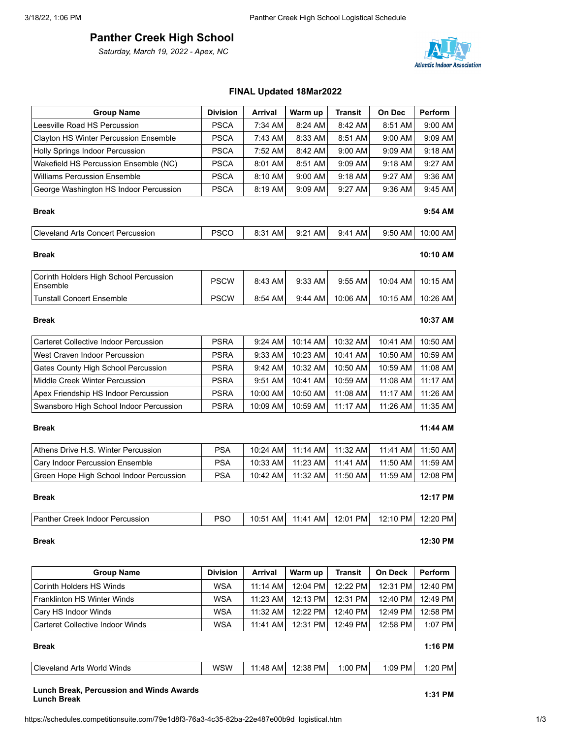# **Panther Creek High School**

*Saturday, March 19, 2022 - Apex, NC*



| <b>Group Name</b>                                  | <b>Division</b> | Arrival        | Warm up  | <b>Transit</b> | On Dec         | Perform        |
|----------------------------------------------------|-----------------|----------------|----------|----------------|----------------|----------------|
| Leesville Road HS Percussion                       | <b>PSCA</b>     | $7:34$ AM      | 8:24 AM  | 8:42 AM        | 8:51 AM        | $9:00$ AM      |
| Clayton HS Winter Percussion Ensemble              | <b>PSCA</b>     | 7:43 AM        | 8:33 AM  | 8:51 AM        | 9:00 AM        | $9:09$ AM      |
| <b>Holly Springs Indoor Percussion</b>             | <b>PSCA</b>     | 7:52 AM        | 8:42 AM  | 9:00 AM        | 9:09 AM        | $9:18$ AM      |
| Wakefield HS Percussion Ensemble (NC)              | <b>PSCA</b>     | 8:01 AM        | 8:51 AM  | 9:09 AM        | 9:18 AM        | 9:27 AM        |
| <b>Williams Percussion Ensemble</b>                | <b>PSCA</b>     | 8:10 AM        | 9:00 AM  | 9:18 AM        | 9:27 AM        | $9:36$ AM      |
| George Washington HS Indoor Percussion             | <b>PSCA</b>     | 8:19 AM        | 9:09 AM  | 9:27 AM        | 9:36 AM        | 9:45 AM        |
| <b>Break</b>                                       |                 |                |          |                |                | $9:54$ AM      |
| <b>Cleveland Arts Concert Percussion</b>           | <b>PSCO</b>     | 8:31 AM        | 9:21 AM  | 9:41 AM        | 9:50 AM        | 10:00 AM       |
| <b>Break</b>                                       |                 |                |          |                |                | 10:10 AM       |
| Corinth Holders High School Percussion<br>Ensemble | <b>PSCW</b>     | 8:43 AM        | 9:33 AM  | 9:55 AM        | 10:04 AM       | 10:15 AM       |
| <b>Tunstall Concert Ensemble</b>                   | <b>PSCW</b>     | 8:54 AM        | 9:44 AM  | 10:06 AM       | 10:15 AM       | 10:26 AM       |
| <b>Break</b>                                       |                 |                |          |                |                | 10:37 AM       |
| Carteret Collective Indoor Percussion              | <b>PSRA</b>     | 9:24 AM        | 10:14 AM | 10:32 AM       | 10:41 AM       | 10:50 AM       |
| West Craven Indoor Percussion                      | <b>PSRA</b>     | 9:33 AM        | 10:23 AM | 10:41 AM       | 10:50 AM       | 10:59 AM       |
| Gates County High School Percussion                | <b>PSRA</b>     | 9:42 AM        | 10:32 AM | 10:50 AM       | 10:59 AM       | 11:08 AM       |
| Middle Creek Winter Percussion                     | <b>PSRA</b>     | 9:51 AM        | 10:41 AM | 10:59 AM       | 11:08 AM       | 11:17 AM       |
| Apex Friendship HS Indoor Percussion               | <b>PSRA</b>     | 10:00 AM       | 10:50 AM | 11:08 AM       | 11:17 AM       | 11:26 AM       |
| Swansboro High School Indoor Percussion            | <b>PSRA</b>     | 10:09 AM       | 10:59 AM | 11:17 AM       | 11:26 AM       | 11:35 AM       |
| <b>Break</b>                                       |                 |                |          |                |                | 11:44 AM       |
| Athens Drive H.S. Winter Percussion                | <b>PSA</b>      | 10:24 AM       | 11:14 AM | 11:32 AM       | 11:41 AM       | 11:50 AM       |
| Cary Indoor Percussion Ensemble                    | <b>PSA</b>      | 10:33 AM       | 11:23 AM | 11:41 AM       | 11:50 AM       | 11:59 AM       |
| Green Hope High School Indoor Percussion           | <b>PSA</b>      | 10:42 AM       | 11:32 AM | 11:50 AM       | 11:59 AM       | 12:08 PM       |
| <b>Break</b>                                       |                 |                |          |                |                | 12:17 PM       |
| <b>Panther Creek Indoor Percussion</b>             | <b>PSO</b>      | 10:51 AM       | 11:41 AM | 12:01 PM       | 12:10 PM       | 12:20 PM       |
| <b>Break</b>                                       |                 |                |          |                |                | 12:30 PM       |
| <b>Group Name</b>                                  | <b>Division</b> | <b>Arrival</b> | Warm up  | <b>Transit</b> | <b>On Deck</b> | <b>Perform</b> |

# Corinth Holders HS Winds **No. 2010 | WSA | 11:14 AM | 12:04 PM | 12:22 PM | 12:31 PM | 12:40 PM** Franklinton HS Winter Winds | WSA | 11:23 AM | 12:13 PM | 12:31 PM | 12:40 PM | 12:49 PM Cary HS Indoor Winds | WSA | 11:32 AM | 12:22 PM | 12:40 PM | 12:49 PM | 12:58 PM Carteret Collective Indoor Winds | WSA | 11:41 AM | 12:31 PM | 12:49 PM | 12:58 PM | 1:07 PM

| <b>Break</b>               |     |          |          |         |           | $1:16$ PM         |
|----------------------------|-----|----------|----------|---------|-----------|-------------------|
| Cleveland Arts World Winds | wsw | 11:48 AM | 12:38 PM | 1:00 PM | $1:09$ PM | 1:20<br><b>PM</b> |

**Lunch Break, Percussion and Winds Awards Lunch Break 1:31 PM**

# **FINAL Updated 18Mar2022**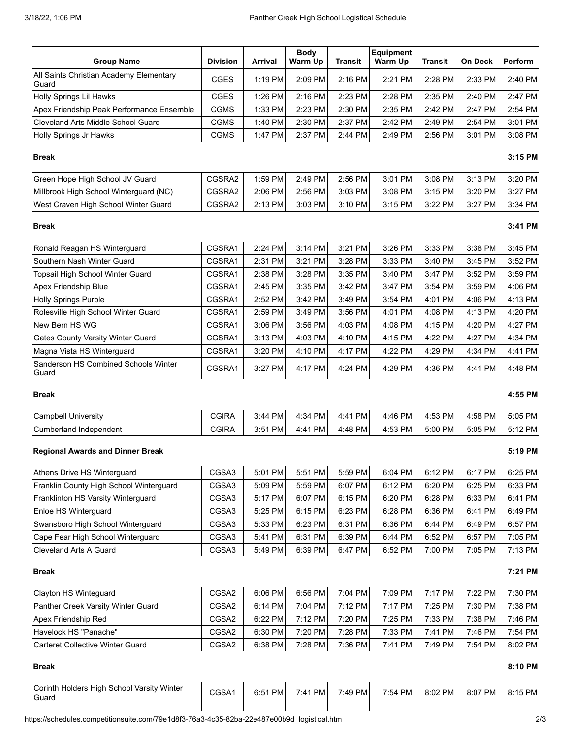| <b>Group Name</b>                                | <b>Division</b> | <b>Arrival</b> | <b>Body</b><br>Warm Up | <b>Transit</b> | <b>Equipment</b><br>Warm Up | Transit   | <b>On Deck</b> | Perform |
|--------------------------------------------------|-----------------|----------------|------------------------|----------------|-----------------------------|-----------|----------------|---------|
| All Saints Christian Academy Elementary<br>Guard | CGES            | $1:19$ PM      | $2:09$ PM              | $2:16$ PM      | 2:21 PM                     | $2:28$ PM | $2:33$ PM      | 2:40 PM |
| Holly Springs Lil Hawks                          | CGES            | $1:26$ PM      | $2:16$ PM              | $2:23$ PM      | $2:28$ PM                   | $2:35$ PM | $2:40$ PM      | 2:47 PM |
| Apex Friendship Peak Performance Ensemble        | <b>CGMS</b>     | 1:33 PM        | $2:23$ PM              | 2:30 PM        | $2:35$ PM                   | 2:42 PM   | 2:47 PM        | 2:54 PM |
| Cleveland Arts Middle School Guard               | CGMS            | 1:40 PM        | 2:30 PM                | 2:37 PM        | $2:42$ PM                   | $2:49$ PM | $2:54$ PM      | 3:01 PM |
| Holly Springs Jr Hawks                           | CGMS            | 1:47 PM        | 2:37 PM                | $2:44$ PM      | $2:49$ PM                   | 2:56 PM   | 3:01 PM        | 3:08 PM |

# **Break 3:15 PM**

| Green Hope High School JV Guard        | CGSRA2 | $1:59$ PM | $2:49$ PM | 2:56 PM   | 3:01 PM   | $3:08$ PM | 3:13 PM | 3:20 PM   |
|----------------------------------------|--------|-----------|-----------|-----------|-----------|-----------|---------|-----------|
| Millbrook High School Winterguard (NC) | CGSRA2 | $2:06$ PM | $2:56$ PM | 3:03 PM   | $3:08$ PM | 3:15 PM   | 3:20 PM | 3:27 PM   |
| West Craven High School Winter Guard   | CGSRA2 | $2:13$ PM | $3:03$ PM | $3:10$ PM | 3:15 PM   | 3:22 PM   | 3:27 PM | $3:34$ PM |

# **Break 3:41 PM**

| Ronald Reagan HS Winterguard                  | CGSRA1 | $2:24$ PM | $3:14$ PM | 3:21 PM | $3:26$ PM | 3:33 PM   | $3:38$ PM | 3:45 PM |
|-----------------------------------------------|--------|-----------|-----------|---------|-----------|-----------|-----------|---------|
| Southern Nash Winter Guard                    | CGSRA1 | 2:31 PM   | 3:21 PM   | 3:28 PM | 3:33 PM   | 3:40 PM   | 3:45 PM   | 3:52 PM |
| Topsail High School Winter Guard              | CGSRA1 | 2:38 PM   | 3:28 PM   | 3:35 PM | 3:40 PM   | 3:47 PM   | $3:52$ PM | 3:59 PM |
| Apex Friendship Blue                          | CGSRA1 | 2:45 PM   | $3:35$ PM | 3:42 PM | 3:47 PM   | 3:54 PM   | 3:59 PM   | 4:06 PM |
| <b>Holly Springs Purple</b>                   | CGSRA1 | 2:52 PM   | 3:42 PM   | 3:49 PM | $3:54$ PM | 4:01 PM   | $4:06$ PM | 4:13 PM |
| Rolesville High School Winter Guard           | CGSRA1 | 2:59 PM   | $3:49$ PM | 3:56 PM | 4:01 PM   | $4:08$ PM | 4:13 PM   | 4:20 PM |
| New Bern HS WG                                | CGSRA1 | 3:06 PM   | 3:56 PM   | 4:03 PM | 4:08 PM   | 4:15 PM   | 4:20 PM   | 4:27 PM |
| Gates County Varsity Winter Guard             | CGSRA1 | 3:13 PM   | 4:03 PM   | 4:10 PM | 4:15 PM   | 4:22 PM   | 4:27 PM   | 4:34 PM |
| Magna Vista HS Winterguard                    | CGSRA1 | 3:20 PM   | $4:10$ PM | 4:17 PM | 4:22 PM   | 4:29 PM   | 4:34 PM   | 4:41 PM |
| Sanderson HS Combined Schools Winter<br>Guard | CGSRA1 | $3:27$ PM | 4:17 PM   | 4:24 PM | $4:29$ PM | $4:36$ PM | 4:41 PM   | 4:48 PM |

| $\sim$<br>Campbell University                | CGIRA | <b>PM</b><br>3:44 | 4:34 PM | <b>PM</b><br>4:41 | PM.<br>4:46 | <b>PM</b><br>4:53 | 4:58 PM    | 5:05 PM   |
|----------------------------------------------|-------|-------------------|---------|-------------------|-------------|-------------------|------------|-----------|
| $\sim$<br><b>Cumberland</b><br>I Independent | CGIRA | 2.51<br>PM<br>ບ.ບ | 4:41 PM | 4:48 PM           | PM.<br>4:53 | 5:00 PM           | 5:05<br>PM | $5:12$ PM |

# **Regional Awards and Dinner Break 5:19 PM**

| Athens Drive HS Winterguard               | CGSA3 | 5:01 PM   | $5:51$ PM | 5:59 PM | 6:04 PM | 6:12 PM | 6:17 PM   | $6:25$ PM |
|-------------------------------------------|-------|-----------|-----------|---------|---------|---------|-----------|-----------|
| Franklin County High School Winterguard   | CGSA3 | 5:09 PM   | $5:59$ PM | 6:07 PM | 6:12 PM | 6:20 PM | 6:25 PM   | 6:33 PM   |
| <b>Franklinton HS Varsity Winterquard</b> | CGSA3 | 5:17 PM   | 6:07 PM   | 6:15 PM | 6:20 PM | 6:28 PM | 6:33 PM   | 6:41 PM   |
| <b>Enloe HS Winterguard</b>               | CGSA3 | $5:25$ PM | 6:15 PM   | 6:23 PM | 6:28 PM | 6:36 PM | 6:41 PM   | 6:49 PM   |
| Swansboro High School Winterguard         | CGSA3 | 5:33 PM   | $6:23$ PM | 6:31 PM | 6:36 PM | 6:44 PM | 6:49 PM   | 6:57 PM   |
| Cape Fear High School Winterguard         | CGSA3 | 5:41 PM   | 6:31 PM   | 6:39 PM | 6:44 PM | 6:52 PM | 6:57 PM   | 7:05 PM   |
| Cleveland Arts A Guard                    | CGSA3 | 5:49 PM   | 6:39 PM   | 6:47 PM | 6:52 PM | 7:00 PM | $7:05$ PM | $7:13$ PM |

## **Break 7:21 PM**

| <b>Clayton HS Winteguard</b>       | CGSA2 | $6:06$ PM | 6:56 PM   | 7:04 PM | 7:09 PM | 7:17 PM   | 7:22 PMI | 7:30 PM |
|------------------------------------|-------|-----------|-----------|---------|---------|-----------|----------|---------|
| Panther Creek Varsity Winter Guard | CGSA2 | $6:14$ PM | $7:04$ PM | 7:12 PM | 7:17 PM | $7:25$ PM | 7:30 PM  | 7:38 PM |
| Apex Friendship Red                | CGSA2 | $6:22$ PM | $7:12$ PM | 7:20 PM | 7:25 PM | $7:33$ PM | 7:38 PM  | 7:46 PM |
| Havelock HS "Panache"              | CGSA2 | 6:30 PM   | $7:20$ PM | 7:28 PM | 7:33 PM | 7:41 PM   | 7:46 PM  | 7:54 PM |
| Carteret Collective Winter Guard   | CGSA2 | $6:38$ PM | $7:28$ PM | 7:36 PM | 7:41 PM | 7:49 PM   | 7:54 PM  | 8:02 PM |

## **Break 8:10 PM**

| Corinth Holders High School Varsity Winter<br>Guard | CGSA1 | 6:51 PM | 7:41 PM | 7:49 PM | 7:54 PM | 8:02 PM | 8:07 PM | 8:15 PM |
|-----------------------------------------------------|-------|---------|---------|---------|---------|---------|---------|---------|
|                                                     |       |         |         |         |         |         |         |         |

# **Break 4:55 PM**